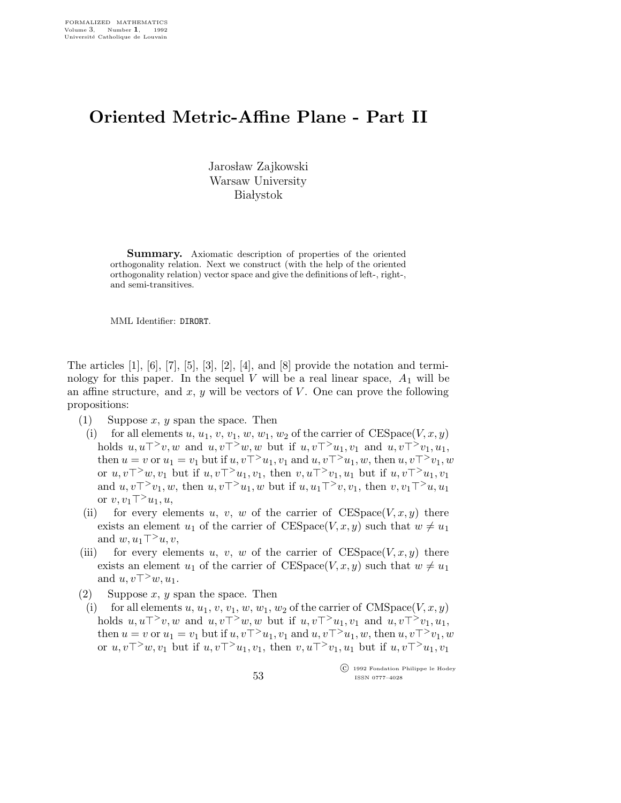## Oriented Metric-Affine Plane - Part II

Jarosław Zajkowski Warsaw University **Białystok** 

**Summary.** Axiomatic description of properties of the oriented orthogonality relation. Next we construct (with the help of the oriented orthogonality relation) vector space and give the definitions of left-, right-, and semi-transitives.

MML Identifier: DIRORT.

The articles  $[1]$ ,  $[6]$ ,  $[7]$ ,  $[5]$ ,  $[3]$ ,  $[2]$ ,  $[4]$ , and  $[8]$  provide the notation and terminology for this paper. In the sequel V will be a real linear space,  $A_1$  will be an affine structure, and  $x, y$  will be vectors of  $V$ . One can prove the following propositions:

- (1) Suppose x, y span the space. Then
	- (i) for all elements u,  $u_1, v, v_1, w, w_1, w_2$  of the carrier of  $\text{CESpace}(V, x, y)$ holds  $u, u\tau^>v, w$  and  $u, v\tau^>w, w$  but if  $u, v\tau^>u_1, v_1$  and  $u, v\tau^>v_1, u_1$ , then  $u = v$  or  $u_1 = v_1$  but if  $u, v\tau > u_1, v_1$  and  $u, v\tau > u_1, w$ , then  $u, v\tau > v_1, w$ or  $u, v\tau^>u, v_1$  but if  $u, v\tau^>u_1, v_1$ , then  $v, u\tau^>v_1, u_1$  but if  $u, v\tau^>u_1, v_1$ and  $u, v\top> v_1, w$ , then  $u, v\top> u_1, w$  but if  $u, u_1\top> v, v_1$ , then  $v, v_1\top> u, u_1$ or  $v, v_1$ ⊤<sup>></sup> $u_1, u$ ,
- (ii) for every elements u, v, w of the carrier of  $\text{CESpace}(V, x, y)$  there exists an element  $u_1$  of the carrier of CESpace(V, x, y) such that  $w \neq u_1$ and  $w, u_1$ ⊤> $u, v$ ,
- (iii) for every elements u, v, w of the carrier of  $CESpace(V, x, y)$  there exists an element  $u_1$  of the carrier of CESpace(V, x, y) such that  $w \neq u_1$ and  $u, v\top^>w, u_1$ .
- (2) Suppose  $x, y$  span the space. Then
- (i) for all elements u, u<sub>1</sub>, v, v<sub>1</sub>, w, w<sub>1</sub>, w<sub>2</sub> of the carrier of CMSpace(V, x, y) holds  $u, u\top \geq v, w$  and  $u, v\top \geq w, w$  but if  $u, v\top \geq u_1, v_1$  and  $u, v\top \geq v_1, u_1$ , then  $u = v$  or  $u_1 = v_1$  but if  $u, v\tau^> u_1, v_1$  and  $u, v\tau^> u_1, w$ , then  $u, v\tau^> v_1, w$ or  $u, v\tau^>u, v_1$  but if  $u, v\tau^>u_1, v_1$ , then  $v, u\tau^>v_1, u_1$  but if  $u, v\tau^>u_1, v_1$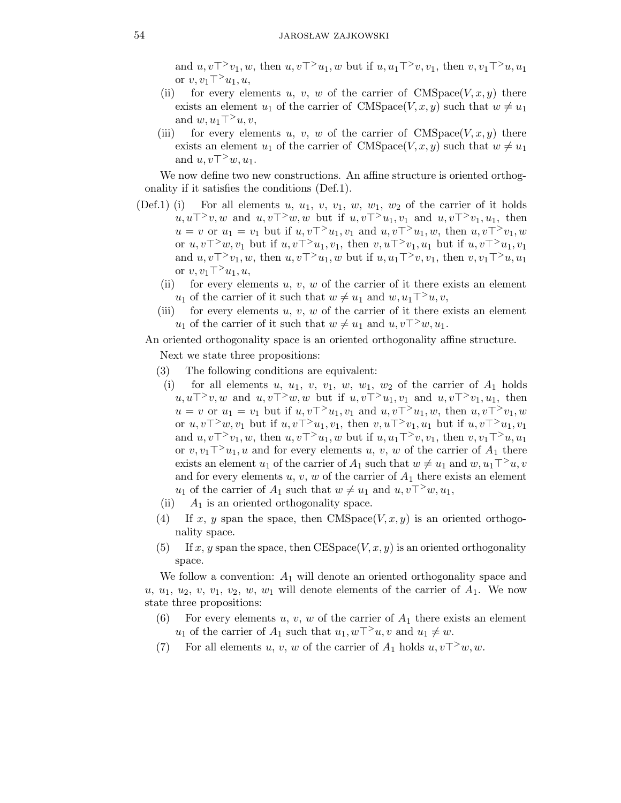and  $u, v\top> v_1, w$ , then  $u, v\top> u_1, w$  but if  $u, u_1\top> v, v_1$ , then  $v, v_1\top> u, u_1$ or v,  $v_1\top$ <sup>></sup>u<sub>1</sub>, u,

- (ii) for every elements u, v, w of the carrier of  $\text{CMSpace}(V,x,y)$  there exists an element  $u_1$  of the carrier of CMSpace(V, x, y) such that  $w \neq u_1$ and  $w, u_1 \top^> u, v$ ,
- (iii) for every elements u, v, w of the carrier of  $CMSpace(V, x, y)$  there exists an element  $u_1$  of the carrier of CMSpace(V, x, y) such that  $w \neq u_1$ and  $u, v\top^>w, u_1$ .

We now define two new constructions. An affine structure is oriented orthogonality if it satisfies the conditions (Def.1).

- (Def.1) (i) For all elements u,  $u_1, v, v_1, w, w_1, w_2$  of the carrier of it holds  $u, u\top$ <sup>></sup>v,w and  $u, v\top$ <sup>></sup>w,w but if  $u, v\top$ <sup>2</sup> $u_1, v_1$  and  $u, v\top$ <sup>2</sup> $v_1, u_1$ , then  $u = v$  or  $u_1 = v_1$  but if  $u, v\tau > u_1, v_1$  and  $u, v\tau > u_1, w$ , then  $u, v\tau > v_1, w$ or  $u, v\tau$ <sup>></sup>w,  $v_1$  but if  $u, v\tau$ <sup>></sup> $u_1, v_1$ , then  $v, u\tau$ <sup>></sup> $v_1, u_1$  but if  $u, v\tau$ <sup>></sup> $u_1, v_1$ and  $u, v\tau > v_1, w$ , then  $u, v\tau > u_1, w$  but if  $u, u_1\tau > v, v_1$ , then  $v, v_1\tau > u, u_1$ or  $v, v_1$ ⊤<sup>></sup> $u_1, u$ ,
	- (ii) for every elements  $u, v, w$  of the carrier of it there exists an element u<sub>1</sub> of the carrier of it such that  $w \neq u_1$  and  $w, u_1$ <sup>™</sup>
	- (iii) for every elements  $u, v, w$  of the carrier of it there exists an element  $u_1$  of the carrier of it such that  $w \neq u_1$  and  $u,v\top^>w, u_1$ .

## An oriented orthogonality space is an oriented orthogonality affine structure.

Next we state three propositions:

- (3) The following conditions are equivalent:
	- (i) for all elements u,  $u_1$ , v,  $v_1$ , w,  $w_1$ ,  $w_2$  of the carrier of  $A_1$  holds u,u⊤>v,w and  $u, v\top$ >w,w but if  $u, v\top$ >u<sub>1</sub>, v<sub>1</sub> and  $u, v\top$ >v<sub>1</sub>, u<sub>1</sub>, then  $u = v$  or  $u_1 = v_1$  but if  $u, v\tau > u_1, v_1$  and  $u, v\tau > u_1, w$ , then  $u, v\tau > v_1, w$ or  $u, v\tau^>u, v_1$  but if  $u, v\tau^>u_1, v_1$ , then  $v, u\tau^>v_1, u_1$  but if  $u, v\tau^>u_1, v_1$ and  $u, v\top$ <sup>></sup>v<sub>1</sub>, w, then  $u, v\top$ <sup>></sup>u<sub>1</sub>, w but if  $u, u_1\top$ <sup>></sup>v, v<sub>1</sub>, then v, v<sub>1</sub> $\top$ <sup>></sup>u, u<sub>1</sub> or  $v, v_1$ <sup> $\top$ </sup>u<sub>1</sub>, u and for every elements u, v, w of the carrier of  $A_1$  there exists an element  $u_1$  of the carrier of  $A_1$  such that  $w \neq u_1$  and  $w, u_1 \top^> u, v$ and for every elements  $u, v, w$  of the carrier of  $A_1$  there exists an element  $u_1$  of the carrier of  $A_1$  such that  $w \neq u_1$  and  $u, v\top^> w, u_1$ ,
- (ii)  $A_1$  is an oriented orthogonality space.
- (4) If x, y span the space, then CMSpace( $V, x, y$ ) is an oriented orthogonality space.
- $(5)$  If x, y span the space, then CESpace(V, x, y) is an oriented orthogonality space.

We follow a convention:  $A_1$  will denote an oriented orthogonality space and  $u, u_1, u_2, v, v_1, v_2, w, w_1$  will denote elements of the carrier of  $A_1$ . We now state three propositions:

- (6) For every elements u, v, w of the carrier of  $A_1$  there exists an element  $u_1$  of the carrier of  $A_1$  such that  $u_1, w\top\geq u$ , v and  $u_1 \neq w$ .
- (7) For all elements u, v, w of the carrier of  $A_1$  holds  $u, v^{->}w, w$ .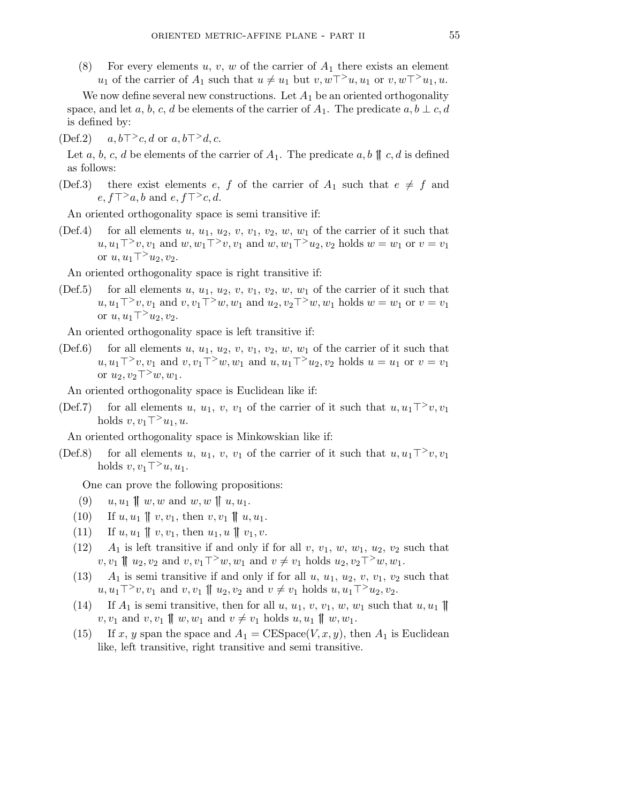(8) For every elements u, v, w of the carrier of  $A_1$  there exists an element u<sub>1</sub> of the carrier of  $A_1$  such that  $u \neq u_1$  but  $v, w\tau^>u, u_1$  or  $v, w\tau^>u_1, u$ .

We now define several new constructions. Let  $A_1$  be an oriented orthogonality space, and let a, b, c, d be elements of the carrier of  $A_1$ . The predicate  $a, b \perp c, d$ is defined by:

 $(\text{Def.2})$   $a, b\top \geq c, d \text{ or } a, b\top \geq d, c.$ 

Let a, b, c, d be elements of the carrier of  $A_1$ . The predicate a, b  $\parallel c, d$  is defined as follows:

(Def.3) there exist elements e, f of the carrier of  $A_1$  such that  $e \neq f$  and  $e, f \top \geq a, b$  and  $e, f \top \geq c, d$ .

An oriented orthogonality space is semi transitive if:

(Def.4) for all elements u,  $u_1, u_2, v, v_1, v_2, w, w_1$  of the carrier of it such that  $u, u_1 \top^> v, v_1$  and  $w, w_1 \top^> v, v_1$  and  $w, w_1 \top^> u_2, v_2$  holds  $w = w_1$  or  $v = v_1$ or  $u, u_1$ ⊤<sup>></sup> $u_2, v_2$ .

An oriented orthogonality space is right transitive if:

(Def.5) for all elements  $u, u_1, u_2, v, v_1, v_2, w, w_1$  of the carrier of it such that  $u, u_1$ ⊤ >v, v<sub>1</sub> and v, v<sub>1</sub> ⊤ >w, w<sub>1</sub> and  $u_2, v_2$  ⊤ >w, w<sub>1</sub> holds  $w = w_1$  or  $v = v_1$ or  $u, u_1$ ⊤<sup>></sup> $u_2, v_2$ .

An oriented orthogonality space is left transitive if:

(Def.6) for all elements u,  $u_1, u_2, v, v_1, v_2, w, w_1$  of the carrier of it such that  $u, u_1$ ⊤>v,  $v_1$  and  $v, v_1$ ⊤>w,  $w_1$  and  $u, u_1$ ⊤> $u_2, v_2$  holds  $u = u_1$  or  $v = v_1$ or  $u_2, v_2$ ⊤ $>$ w, w<sub>1</sub>.

An oriented orthogonality space is Euclidean like if:

(Def.7) for all elements u, u<sub>1</sub>, v, v<sub>1</sub> of the carrier of it such that  $u, u_1\tau^> v, v_1$ holds  $v, v_1$ ⊤ $>u_1, u$ .

An oriented orthogonality space is Minkowskian like if:

(Def.8) for all elements u, u<sub>1</sub>, v, v<sub>1</sub> of the carrier of it such that  $u, u_1\tau^> v, v_1$ holds  $v, v_1$ ⊤>u,u<sub>1</sub>.

One can prove the following propositions:

- (9)  $u, u_1 \parallel w, w \text{ and } w, w \parallel u, u_1.$
- (10) If  $u, u_1 \parallel v, v_1$ , then  $v, v_1 \parallel u, u_1$ .
- (11) If  $u, u_1 \parallel v, v_1$ , then  $u_1, u \parallel v_1, v$ .
- (12)  $A_1$  is left transitive if and only if for all v,  $v_1$ ,  $w$ ,  $w_1$ ,  $u_2$ ,  $v_2$  such that  $v, v_1 \nparallel u_2, v_2$  and  $v, v_1$ ⊤>w,  $w_1$  and  $v \neq v_1$  holds  $u_2, v_2$ ⊤>w,  $w_1$ .
- (13)  $A_1$  is semi transitive if and only if for all  $u, u_1, u_2, v, v_1, v_2$  such that  $u, u_1$ ⊤ >  $v, v_1$  and  $v, v_1$  ||  $u_2, v_2$  and  $v \neq v_1$  holds  $u, u_1$  ⊤ >  $u_2, v_2$ .
- (14) If  $A_1$  is semi transitive, then for all  $u, u_1, v, v_1, w, w_1$  such that  $u, u_1 \parallel$  $v, v_1$  and  $v, v_1 \parallel w, w_1$  and  $v \neq v_1$  holds  $u, u_1 \parallel w, w_1$ .
- (15) If x, y span the space and  $A_1 = \text{CESpace}(V, x, y)$ , then  $A_1$  is Euclidean like, left transitive, right transitive and semi transitive.